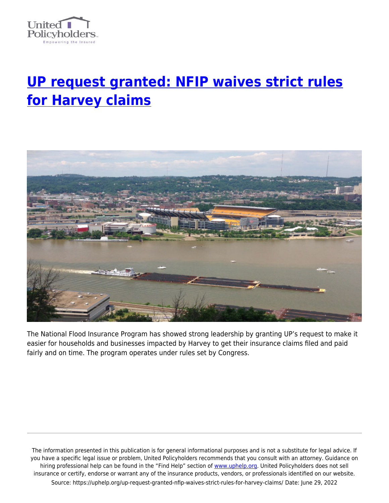

## **[UP request granted: NFIP waives strict rules](https://uphelp.org/up-request-granted-nfip-waives-strict-rules-for-harvey-claims/) [for Harvey claims](https://uphelp.org/up-request-granted-nfip-waives-strict-rules-for-harvey-claims/)**



The National Flood Insurance Program has showed strong leadership by granting UP's request to make it easier for households and businesses impacted by Harvey to get their insurance claims filed and paid fairly and on time. The program operates under rules set by Congress.

The information presented in this publication is for general informational purposes and is not a substitute for legal advice. If you have a specific legal issue or problem, United Policyholders recommends that you consult with an attorney. Guidance on hiring professional help can be found in the "Find Help" section of [www.uphelp.org.](http://www.uphelp.org/) United Policyholders does not sell insurance or certify, endorse or warrant any of the insurance products, vendors, or professionals identified on our website. Source: https://uphelp.org/up-request-granted-nfip-waives-strict-rules-for-harvey-claims/ Date: June 29, 2022